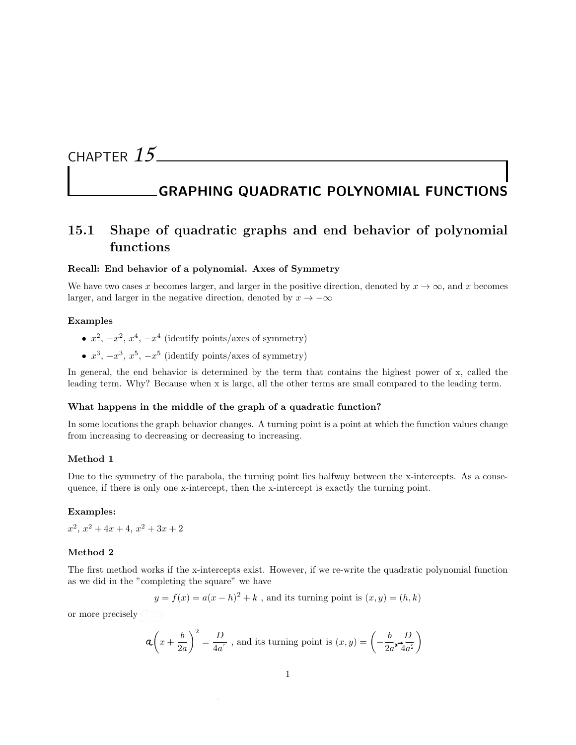# CHAPTER *15*

# GRAPHING QUADRATIC POLYNOMIAL FUNCTIONS

# 15.1 Shape of quadratic graphs and end behavior of polynomial functions

### Recall: End behavior of a polynomial. Axes of Symmetry

We have two cases x becomes larger, and larger in the positive direction, denoted by  $x \to \infty$ , and x becomes larger, and larger in the negative direction, denoted by  $x \to -\infty$ 

### Examples

- $x^2$ ,  $-x^2$ ,  $x^4$ ,  $-x^4$  (identify points/axes of symmetry)
- $x^3$ ,  $-x^3$ ,  $x^5$ ,  $-x^5$  (identify points/axes of symmetry)

In general, the end behavior is determined by the term that contains the highest power of x, called the leading term. Why? Because when x is large, all the other terms are small compared to the leading term.

#### What happens in the middle of the graph of a quadratic function?

In some locations the graph behavior changes. A turning point is a point at which the function values change from increasing to decreasing or decreasing to increasing.

### Method 1

Due to the symmetry of the parabola, the turning point lies halfway between the x-intercepts. As a consequence, if there is only one x-intercept, then the x-intercept is exactly the turning point.

### Examples:

 $x^2$ ,  $x^2 + 4x + 4$ ,  $x^2 + 3x + 2$ 

#### Method 2

The first method works if the x-intercepts exist. However, if we re-write the quadratic polynomial function as we did in the "completing the square" we have

$$
y = f(x) = a(x - h)^2 + k
$$
, and its turning point is  $(x, y) = (h, k)$ 

or more precisely  $\langle \, \cdot \, \cdot \, \cdot \, \rangle$ 

$$
\mathbf{a}\left(x+\frac{b}{2a}\right)^2=\frac{D}{4a^{\circ}}, \text{ and its turning point is } (x,y)=\left(-\frac{b}{2a^2-4a^2}\right)
$$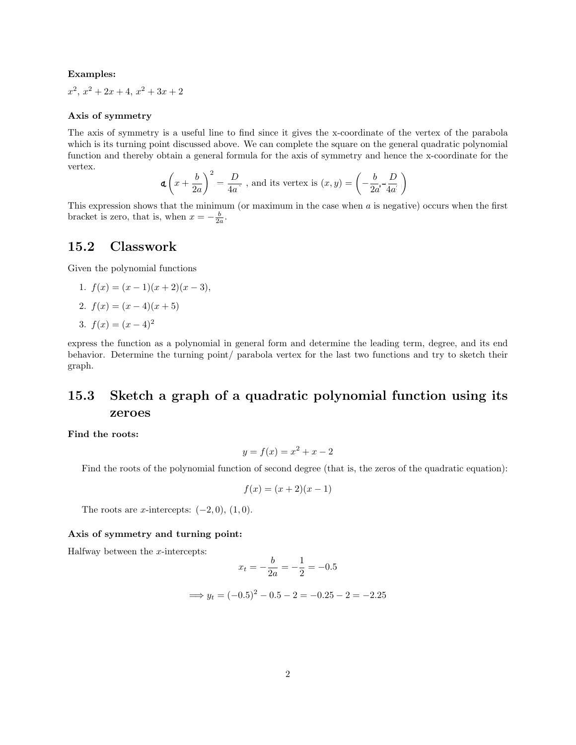### Examples:

 $x^2$ ,  $x^2 + 2x + 4$ ,  $x^2 + 3x + 2$ 

### Axis of symmetry

The axis of symmetry is a useful line to find since it gives the x-coordinate of the vertex of the parabola which is its turning point discussed above. We can complete the square on the general quadratic polynomial function and thereby obtain a general formula for the axis of symmetry and hence the x-coordinate for the vertex.

$$
\mathbf{a}\left(x+\frac{b}{2a}\right)^2=\frac{D}{4a}, \text{ and its vertex is } (x,y)=\left(-\frac{b}{2a}\mathbf{1}_{4a}^D\right)
$$

This expression shows that the minimum (or maximum in the case when *a* is negative) occurs when the first bracket is zero, that is, when  $x = -\frac{b}{2a}$ .

### 15.2 Classwork

Given the polynomial functions

1. 
$$
f(x) = (x - 1)(x + 2)(x - 3),
$$
  
\n2.  $f(x) = (x - 4)(x + 5)$   
\n3.  $f(x) = (x - 4)^2$ 

express the function as a polynomial in general form and determine the leading term, degree, and its end behavior. Determine the turning point/ parabola vertex for the last two functions and try to sketch their graph.

# 15.3 Sketch a graph of a quadratic polynomial function using its zeroes

Find the roots:

$$
y = f(x) = x^2 + x - 2
$$

Find the roots of the polynomial function of second degree (that is, the zeros of the quadratic equation):

$$
f(x) = (x+2)(x-1)
$$

The roots are *x*-intercepts:  $(-2, 0)$ ,  $(1, 0)$ .

### Axis of symmetry and turning point:

Halfway between the *x*-intercepts:

$$
x_t = -\frac{b}{2a} = -\frac{1}{2} = -0.5
$$

$$
\implies y_t = (-0.5)^2 - 0.5 - 2 = -0.25 - 2 = -2.25
$$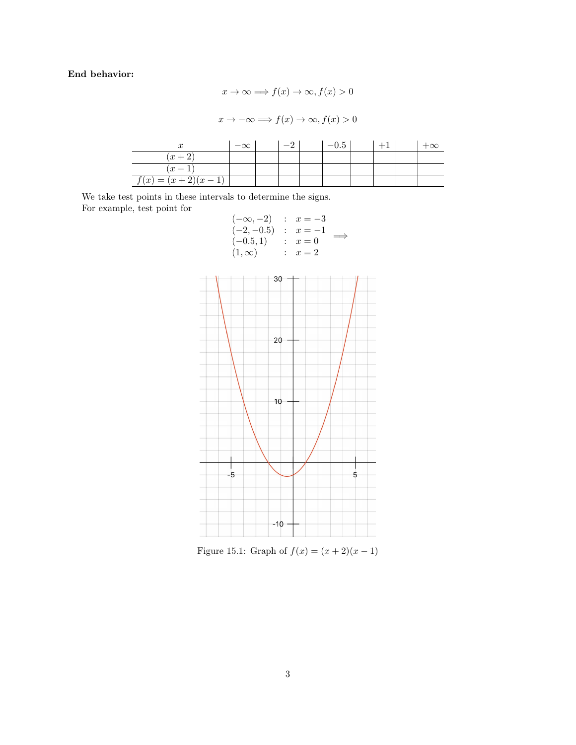### End behavior:

 $\overline{\phantom{a}}$ 

$$
x \to \infty \implies f(x) \to \infty, f(x) > 0
$$

$$
x \to -\infty \implies f(x) \to \infty, f(x) > 0
$$

$$
\begin{array}{c|c|c}\nx & -\infty & -2 & -0.5 & +1 & +\infty \\
\hline\n(x+2) & & & & \\
\hline\nf(x) = (x+2)(x-1) & & & & \\
\hline\n\end{array}
$$

We take test points in these intervals to determine the signs. For example, test point for

| $(-\infty,-2)$ | $\therefore$ $x=-3$ |  |
|----------------|---------------------|--|
| $(-2,-0.5)$    | $x=-1$              |  |
| $(-0.5, 1)$    | $x=0$               |  |
| $(1,\infty)$   | $x=2$               |  |
|                |                     |  |



Figure 15.1: Graph of  $f(x) = (x + 2)(x - 1)$